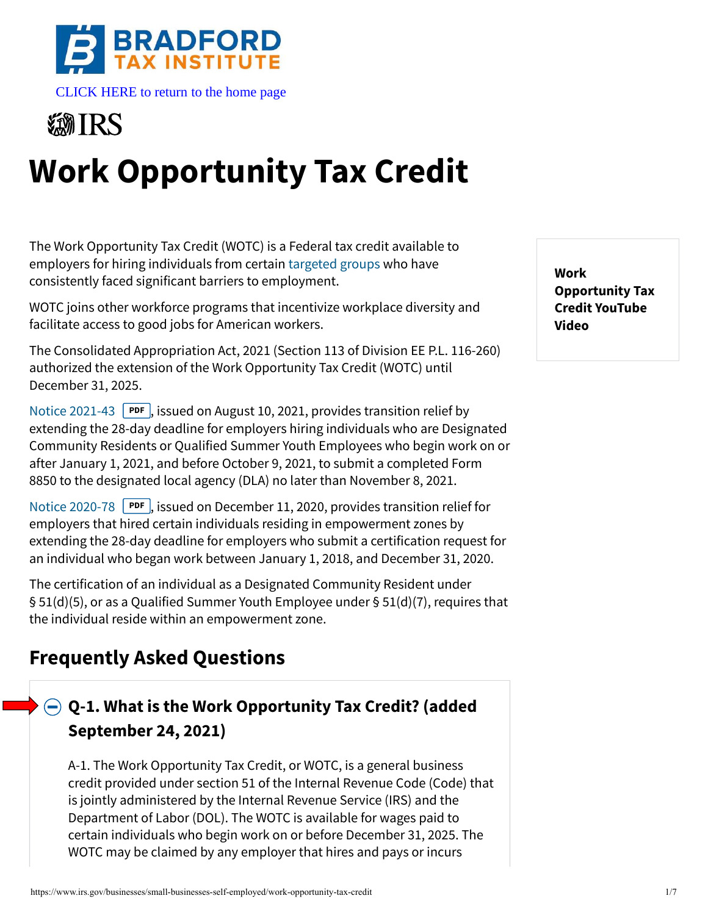



# **Work Opportunity Tax Credit**

The Work Opportunity Tax Credit (WOTC) is a Federal tax credit available to employers for hiring individuals from certain [targeted groups](#page-3-0) who have consistently faced significant barriers to employment.

WOTC joins other workforce programs that incentivize workplace diversity and facilitate access to good jobs for American workers.

The Consolidated Appropriation Act, 2021 (Section 113 of Division EE P.L. 116-260) authorized the extension of the Work Opportunity Tax Credit (WOTC) until December 31, 2025.

[Notice 2021-43](https://www.irs.gov/pub/irs-drop/n-21-43.pdf) **PDF**, issued on August 10, 2021, provides transition relief by extending the 28-day deadline for employers hiring individuals who are Designated Community Residents or Qualified Summer Youth Employees who begin work on or after January 1, 2021, and before October 9, 2021, to submit a completed Form 8850 to the designated local agency (DLA) no later than November 8, 2021.

[Notice 2020-78](https://www.irs.gov/pub/irs-drop/n-20-78.pdf) **PDF**, issued on December 11, 2020, provides transition relief for employers that hired certain individuals residing in empowerment zones by extending the 28-day deadline for employers who submit a certification request for an individual who began work between January 1, 2018, and December 31, 2020.

The certification of an individual as a Designated Community Resident under § 51(d)(5), or as a Qualified Summer Youth Employee under § 51(d)(7), requires that the individual reside within an empowerment zone.

# **Frequently Asked Questions**

## **[Q-1. What is the Work Opportunity Tax Credit? \(added](#page-0-0) September 24, 2021)**

<span id="page-0-0"></span>A-1. The Work Opportunity Tax Credit, or WOTC, is a general business credit provided under section 51 of the Internal Revenue Code (Code) that is jointly administered by the Internal Revenue Service (IRS) and the Department of Labor (DOL). The WOTC is available for wages paid to certain individuals who begin work on or before December 31, 2025. The WOTC may be claimed by any employer that hires and pays or incurs

**Work Opportunity Tax Credit YouTube Video**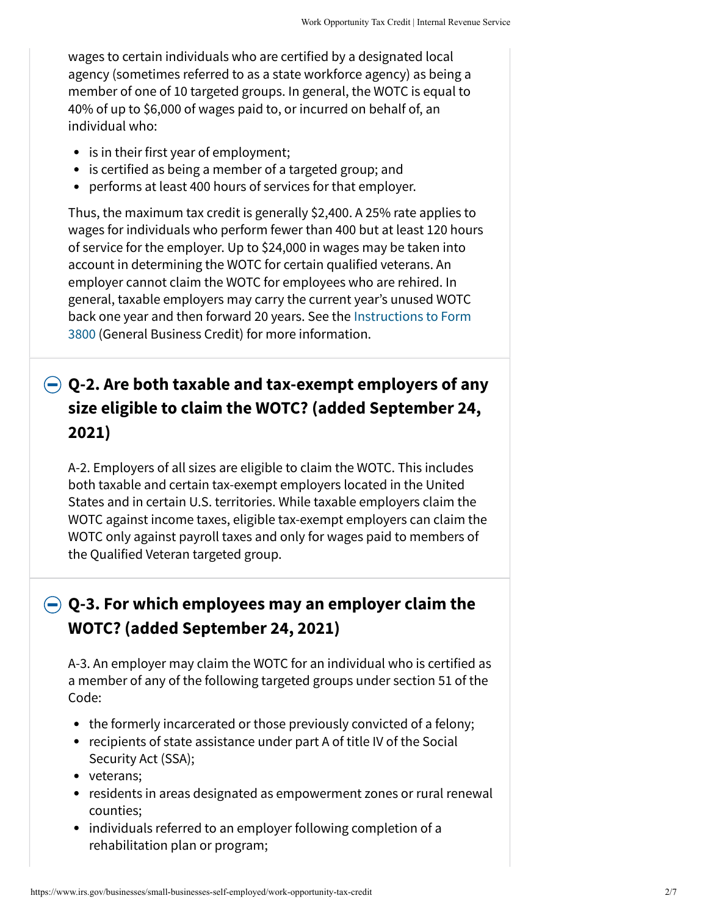wages to certain individuals who are certified by a designated local agency (sometimes referred to as a state workforce agency) as being a member of one of 10 targeted groups. In general, the WOTC is equal to 40% of up to \$6,000 of wages paid to, or incurred on behalf of, an individual who:

- is in their first year of employment;
- is certified as being a member of a targeted group; and
- performs at least 400 hours of services for that employer.

Thus, the maximum tax credit is generally \$2,400. A 25% rate applies to wages for individuals who perform fewer than 400 but at least 120 hours of service for the employer. Up to \$24,000 in wages may be taken into account in determining the WOTC for certain qualified veterans. An employer cannot claim the WOTC for employees who are rehired. In general, taxable employers may carry the current year's unused WOTC [back one year and then forward 20 years. See the Instructions to Form](https://www.irs.gov/instructions/i3800) 3800 (General Business Credit) for more information.

## **[Q-2. Are both taxable and tax-exempt employers of any](#page-1-0) size eligible to claim the WOTC? (added September 24, 2021)**

<span id="page-1-0"></span>A-2. Employers of all sizes are eligible to claim the WOTC. This includes both taxable and certain tax-exempt employers located in the United States and in certain U.S. territories. While taxable employers claim the WOTC against income taxes, eligible tax-exempt employers can claim the WOTC only against payroll taxes and only for wages paid to members of the Qualified Veteran targeted group.

## **[Q-3. For which employees may an employer claim the](#page-1-1) WOTC? (added September 24, 2021)**

<span id="page-1-1"></span>A-3. An employer may claim the WOTC for an individual who is certified as a member of any of the following targeted groups under section 51 of the Code:

- the formerly incarcerated or those previously convicted of a felony;
- recipients of state assistance under part A of title IV of the Social Security Act (SSA);
- veterans;
- residents in areas designated as empowerment zones or rural renewal counties;
- individuals referred to an employer following completion of a rehabilitation plan or program;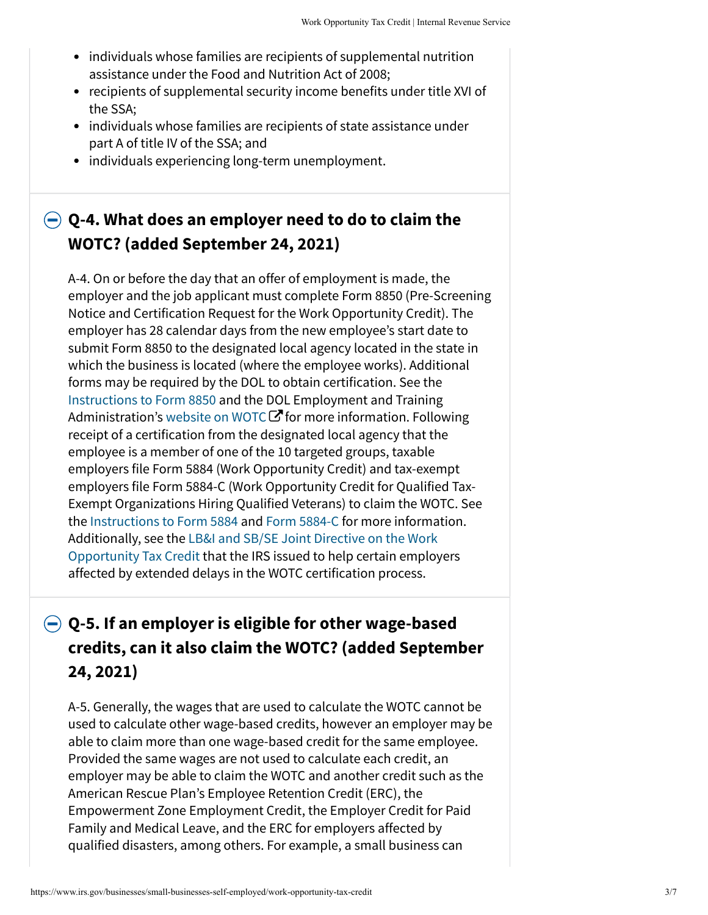- individuals whose families are recipients of supplemental nutrition assistance under the Food and Nutrition Act of 2008;
- recipients of supplemental security income benefits under title XVI of the SSA;
- individuals whose families are recipients of state assistance under part A of title IV of the SSA; and
- individuals experiencing long-term unemployment.

## **[Q-4. What does an employer need to do to claim the](#page-2-0) WOTC? (added September 24, 2021)**

<span id="page-2-0"></span>A-4. On or before the day that an offer of employment is made, the employer and the job applicant must complete Form 8850 (Pre-Screening Notice and Certification Request for the Work Opportunity Credit). The employer has 28 calendar days from the new employee's start date to submit Form 8850 to the designated local agency located in the state in which the business is located (where the employee works). Additional forms may be required by the DOL to obtain certification. See the [Instructions to Form 8850](https://www.irs.gov/instructions/i8850) and the DOL Employment and Training Administration's website on WOTC  $\bm{\mathcal{C}}$  for more information. Following receipt of a certification from the designated local agency that the employee is a member of one of the 10 targeted groups, taxable employers file Form 5884 (Work Opportunity Credit) and tax-exempt employers file Form 5884-C (Work Opportunity Credit for Qualified Tax-Exempt Organizations Hiring Qualified Veterans) to claim the WOTC. See the [Instructions to Form 5884](https://www.irs.gov/instructions/i5884) and [Form 5884-C](https://www.irs.gov/forms-pubs/about-form-5884-c) for more information. [Additionally, see the LB&I and SB/SE Joint Directive on the Work](https://www.irs.gov/businesses/corporations/lbi-and-sbse-joint-directive-on-the-work-opportunity-tax-credit-per-internal-revenue-code-section-51-irc-ss-51) Opportunity Tax Credit that the IRS issued to help certain employers affected by extended delays in the WOTC certification process.

## **Q-5. If an employer is eligible for other wage-based [credits, can it also claim the WOTC? \(added September](#page-2-1) 24, 2021)**

<span id="page-2-1"></span>A-5. Generally, the wages that are used to calculate the WOTC cannot be used to calculate other wage-based credits, however an employer may be able to claim more than one wage-based credit for the same employee. Provided the same wages are not used to calculate each credit, an employer may be able to claim the WOTC and another credit such as the American Rescue Plan's Employee Retention Credit (ERC), the Empowerment Zone Employment Credit, the Employer Credit for Paid Family and Medical Leave, and the ERC for employers affected by qualified disasters, among others. For example, a small business can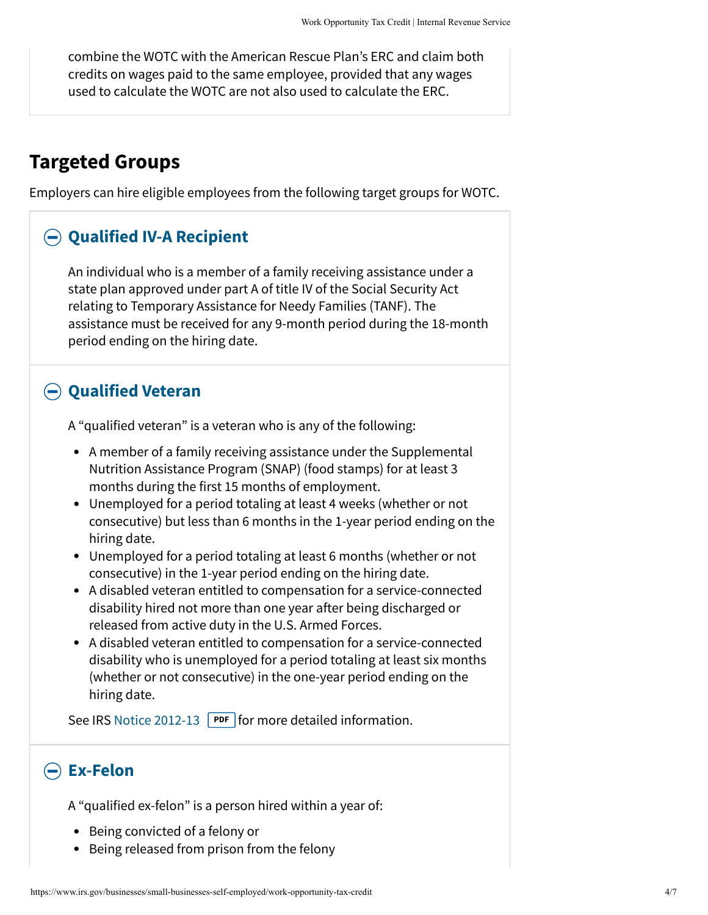combine the WOTC with the American Rescue Plan's ERC and claim both credits on wages paid to the same employee, provided that any wages used to calculate the WOTC are not also used to calculate the ERC.

## <span id="page-3-0"></span>**Targeted Groups**

Employers can hire eligible employees from the following target groups for WOTC.

#### <span id="page-3-1"></span>**[Qualified IV-A Recipient](#page-3-1)**

An individual who is a member of a family receiving assistance under a state plan approved under part A of title IV of the Social Security Act relating to Temporary Assistance for Needy Families (TANF). The assistance must be received for any 9-month period during the 18-month period ending on the hiring date.

#### **[Qualified Veteran](#page-3-2)**

<span id="page-3-2"></span>A "qualified veteran" is a veteran who is any of the following:

- A member of a family receiving assistance under the Supplemental Nutrition Assistance Program (SNAP) (food stamps) for at least 3 months during the first 15 months of employment.
- Unemployed for a period totaling at least 4 weeks (whether or not consecutive) but less than 6 months in the 1-year period ending on the hiring date.
- Unemployed for a period totaling at least 6 months (whether or not consecutive) in the 1-year period ending on the hiring date.
- A disabled veteran entitled to compensation for a service-connected disability hired not more than one year after being discharged or released from active duty in the U.S. Armed Forces.
- A disabled veteran entitled to compensation for a service-connected disability who is unemployed for a period totaling at least six months (whether or not consecutive) in the one-year period ending on the hiring date.

See IRS [Notice 2012-13](https://www.irs.gov/pub/irs-drop/n-12-13.pdf) **PDF** for more detailed information.

#### **[Ex-Felon](#page-3-3)**

<span id="page-3-3"></span>A "qualified ex-felon" is a person hired within a year of:

- Being convicted of a felony or
- Being released from prison from the felony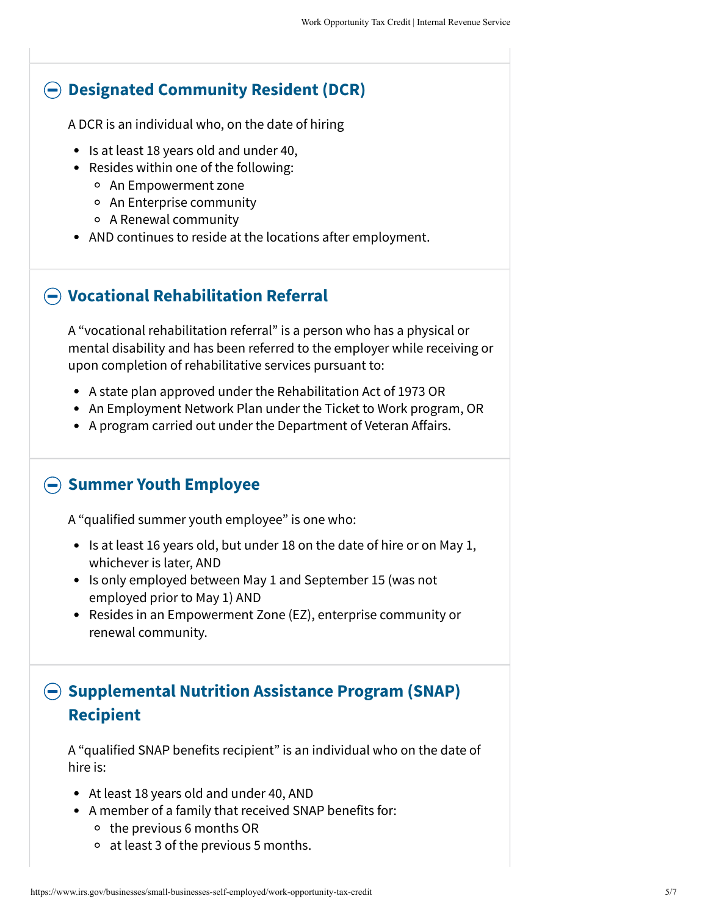#### **[Designated Community Resident \(DCR\)](#page-4-0)**

<span id="page-4-0"></span>A DCR is an individual who, on the date of hiring

- Is at least 18 years old and under 40,
- Resides within one of the following:
	- An Empowerment zone
	- An Enterprise community
	- A Renewal community
- AND continues to reside at the locations after employment.

#### **[Vocational Rehabilitation Referral](#page-4-1)**

<span id="page-4-1"></span>A "vocational rehabilitation referral" is a person who has a physical or mental disability and has been referred to the employer while receiving or upon completion of rehabilitative services pursuant to:

- A state plan approved under the Rehabilitation Act of 1973 OR
- An Employment Network Plan under the Ticket to Work program, OR
- A program carried out under the Department of Veteran Affairs.

#### **[Summer Youth Employee](#page-4-2)**

<span id="page-4-2"></span>A "qualified summer youth employee" is one who:

- $\bullet$  Is at least 16 years old, but under 18 on the date of hire or on May 1, whichever is later, AND
- Is only employed between May 1 and September 15 (was not employed prior to May 1) AND
- Resides in an Empowerment Zone (EZ), enterprise community or renewal community.

## **[Supplemental Nutrition Assistance Program \(SNAP\)](#page-4-3) Recipient**

<span id="page-4-3"></span>A "qualified SNAP benefits recipient" is an individual who on the date of hire is:

- At least 18 years old and under 40, AND
- A member of a family that received SNAP benefits for:
	- $\circ$  the previous 6 months OR
	- $\circ$  at least 3 of the previous 5 months.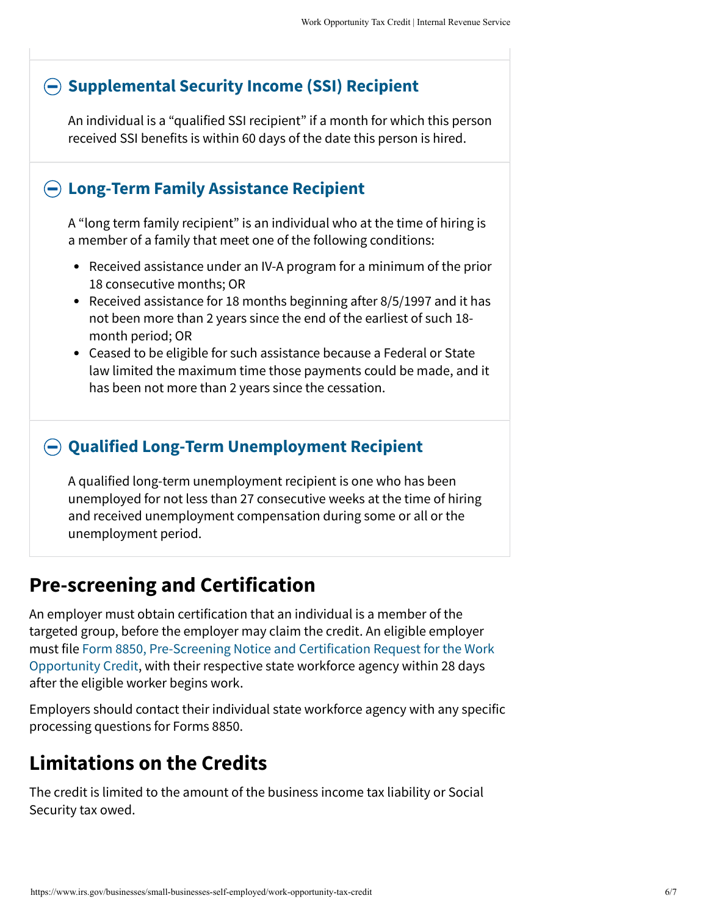#### <span id="page-5-0"></span>**[Supplemental Security Income \(SSI\) Recipient](#page-5-0)**

An individual is a "qualified SSI recipient" if a month for which this person received SSI benefits is within 60 days of the date this person is hired.

#### <span id="page-5-1"></span>**[Long-Term Family Assistance Recipient](#page-5-1)**

A "long term family recipient" is an individual who at the time of hiring is a member of a family that meet one of the following conditions:

- Received assistance under an IV-A program for a minimum of the prior 18 consecutive months; OR
- Received assistance for 18 months beginning after 8/5/1997 and it has not been more than 2 years since the end of the earliest of such 18 month period; OR
- Ceased to be eligible for such assistance because a Federal or State law limited the maximum time those payments could be made, and it has been not more than 2 years since the cessation.

#### <span id="page-5-2"></span>**[Qualified Long-Term Unemployment Recipient](#page-5-2)**

A qualified long-term unemployment recipient is one who has been unemployed for not less than 27 consecutive weeks at the time of hiring and received unemployment compensation during some or all or the unemployment period.

# **Pre-screening and Certification**

An employer must obtain certification that an individual is a member of the targeted group, before the employer may claim the credit. An eligible employer [must file Form 8850, Pre-Screening Notice and Certification Request for the Work](https://www.irs.gov/forms-pubs/about-form-8850) Opportunity Credit, with their respective state workforce agency within 28 days after the eligible worker begins work.

Employers should contact their individual state workforce agency with any specific processing questions for Forms 8850.

# **Limitations on the Credits**

The credit is limited to the amount of the business income tax liability or Social Security tax owed.